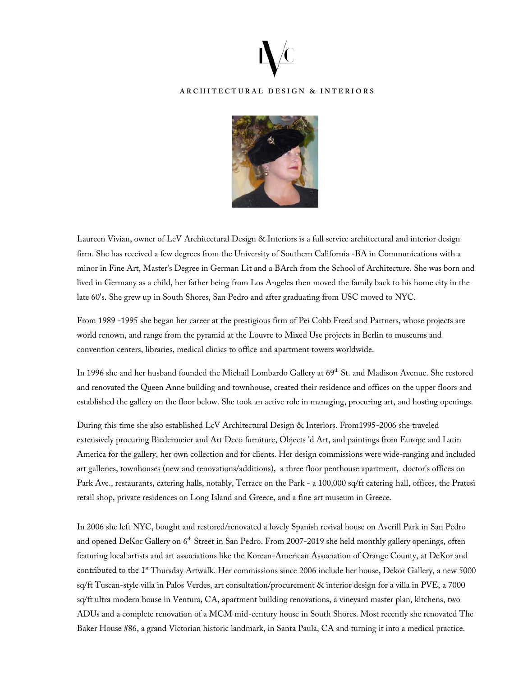

## **ARCHITECTURAL DESIGN & INTERIORS**



Laureen Vivian, owner of LcV Architectural Design & Interiors is a full service architectural and interior design firm. She has received a few degrees from the University of Southern California -BA in Communications with a minor in Fine Art, Master's Degree in German Lit and a BArch from the School of Architecture. She was born and lived in Germany as a child, her father being from Los Angeles then moved the family back to his home city in the late 60's. She grew up in South Shores, San Pedro and after graduating from USC moved to NYC.

From 1989 -1995 she began her career at the prestigious firm of Pei Cobb Freed and Partners, whose projects are world renown, and range from the pyramid at the Louvre to Mixed Use projects in Berlin to museums and convention centers, libraries, medical clinics to office and apartment towers worldwide.

In 1996 she and her husband founded the Michail Lombardo Gallery at 69<sup>th</sup> St. and Madison Avenue. She restored and renovated the Queen Anne building and townhouse, created their residence and offices on the upper floors and established the gallery on the floor below. She took an active role in managing, procuring art, and hosting openings.

During this time she also established LcV Architectural Design & Interiors. From1995-2006 she traveled extensively procuring Biedermeier and Art Deco furniture, Objects 'd Art, and paintings from Europe and Latin America for the gallery, her own collection and for clients. Her design commissions were wide-ranging and included art galleries, townhouses (new and renovations/additions), a three floor penthouse apartment, doctor's offices on Park Ave., restaurants, catering halls, notably, Terrace on the Park - a 100,000 sq/ft catering hall, offices, the Pratesi retail shop, private residences on Long Island and Greece, and a fine art museum in Greece.

In 2006 she left NYC, bought and restored/renovated a lovely Spanish revival house on Averill Park in San Pedro and opened DeKor Gallery on 6<sup>th</sup> Street in San Pedro. From 2007-2019 she held monthly gallery openings, often featuring local artists and art associations like the Korean-American Association of Orange County, at DeKor and contributed to the 1<sup>st</sup> Thursday Artwalk. Her commissions since 2006 include her house, Dekor Gallery, a new 5000 sq/ft Tuscan-style villa in Palos Verdes, art consultation/procurement & interior design for a villa in PVE, a 7000 sq/ft ultra modern house in Ventura, CA, apartment building renovations, a vineyard master plan, kitchens, two ADUs and a complete renovation of a MCM mid-century house in South Shores. Most recently she renovated The Baker House #86, a grand Victorian historic landmark, in Santa Paula, CA and turning it into a medical practice.